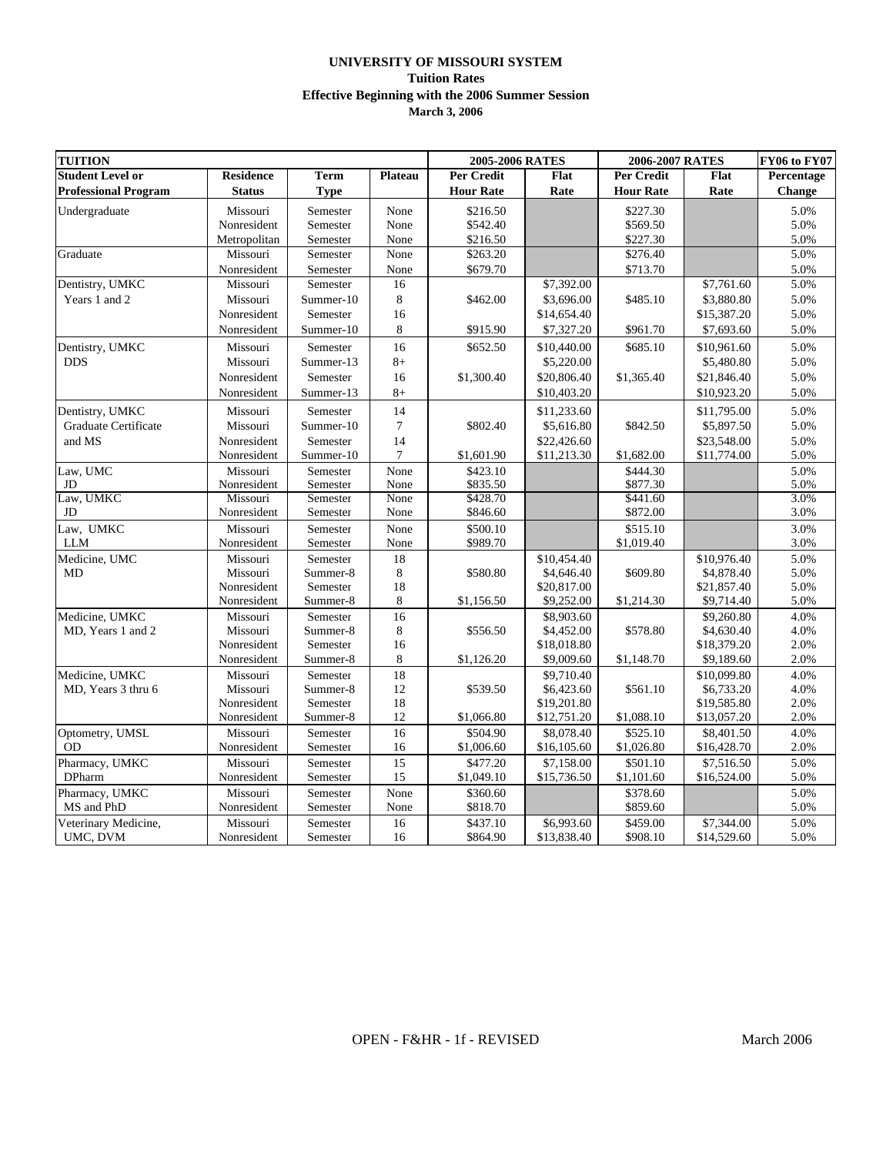## **UNIVERSITY OF MISSOURI SYSTEM Tuition Rates March 3, 2006 Effective Beginning with the 2006 Summer Session**

| <b>TUITION</b>                   |                            |                      | 2005-2006 RATES |                        | 2006-2007 RATES           |                        | FY06 to FY07              |               |
|----------------------------------|----------------------------|----------------------|-----------------|------------------------|---------------------------|------------------------|---------------------------|---------------|
| <b>Student Level or</b>          | <b>Residence</b>           | <b>Term</b>          | Plateau         | Per Credit             | Flat                      | Per Credit             | Flat                      | Percentage    |
| <b>Professional Program</b>      | <b>Status</b>              | <b>Type</b>          |                 | <b>Hour Rate</b>       | Rate                      | <b>Hour Rate</b>       | Rate                      | <b>Change</b> |
| Undergraduate                    | Missouri                   | Semester             | None            | \$216.50               |                           | \$227.30               |                           | 5.0%          |
|                                  | Nonresident                | Semester             | None            | \$542.40               |                           | \$569.50               |                           | 5.0%          |
|                                  | Metropolitan               | Semester             | None            | \$216.50               |                           | \$227.30               |                           | 5.0%          |
| Graduate                         | Missouri                   | Semester             | None            | \$263.20               |                           | \$276.40               |                           | 5.0%          |
|                                  | Nonresident                | Semester             | None            | \$679.70               |                           | \$713.70               |                           | 5.0%          |
| Dentistry, UMKC                  | Missouri                   | Semester             | 16              |                        | \$7,392.00                |                        | \$7,761.60                | 5.0%          |
| Years 1 and 2                    | Missouri                   | Summer-10            | $\bf 8$         | \$462.00               | \$3,696.00                | \$485.10               | \$3,880.80                | 5.0%          |
|                                  | Nonresident                | Semester             | 16              |                        | \$14,654.40               |                        | \$15,387.20               | 5.0%          |
|                                  | Nonresident                | Summer-10            | 8               | \$915.90               | \$7,327.20                | \$961.70               | \$7,693.60                | 5.0%          |
| Dentistry, UMKC                  | Missouri                   | Semester             | 16              | \$652.50               | \$10,440.00               | \$685.10               | \$10,961.60               | 5.0%          |
| <b>DDS</b>                       | Missouri                   | Summer-13            | $8+$            |                        | \$5,220.00                |                        | \$5,480.80                | 5.0%          |
|                                  | Nonresident                | Semester             | 16              | \$1,300.40             | \$20,806.40               | \$1,365.40             | \$21,846.40               | 5.0%          |
|                                  | Nonresident                | Summer-13            | $8+$            |                        | \$10,403.20               |                        | \$10,923.20               | 5.0%          |
| Dentistry, UMKC                  | Missouri                   | Semester             | 14              |                        | \$11,233.60               |                        | \$11,795.00               | 5.0%          |
| Graduate Certificate             | Missouri                   | Summer-10            | $\overline{7}$  | \$802.40               | \$5,616.80                | \$842.50               | \$5,897.50                | 5.0%          |
| and MS                           | Nonresident                | Semester             | 14              |                        | \$22,426.60               |                        | \$23,548.00               | 5.0%          |
|                                  | Nonresident                | Summer-10            | $\overline{7}$  | \$1,601.90             | \$11,213.30               | \$1,682.00             | \$11,774.00               | 5.0%          |
| Law, $UMC$                       | Missouri                   | Semester             | None            | \$423.10               |                           | \$444.30               |                           | 5.0%          |
| JD                               | Nonresident                | Semester             | None            | \$835.50               |                           | \$877.30               |                           | 5.0%          |
| Law, UMKC                        | Missouri                   | Semester             | None            | \$428.70               |                           | \$441.60               |                           | 3.0%          |
| JD                               | Nonresident                | Semester             | None            | \$846.60               |                           | \$872.00               |                           | 3.0%          |
| Law, UMKC                        | Missouri                   | Semester             | None            | \$500.10               |                           | \$515.10               |                           | 3.0%          |
| <b>LLM</b>                       | Nonresident                | Semester             | None            | \$989.70               |                           | \$1,019.40             |                           | 3.0%          |
| Medicine, UMC                    | Missouri                   | Semester             | 18              |                        | \$10,454.40               |                        | \$10,976.40               | 5.0%          |
| <b>MD</b>                        | Missouri                   | Summer-8             | $\,$ 8 $\,$     | \$580.80               | \$4,646.40                | \$609.80               | \$4,878.40                | 5.0%          |
|                                  | Nonresident                | Semester             | 18              |                        | \$20,817.00               |                        | \$21,857.40               | 5.0%          |
|                                  | Nonresident                | Summer-8             | 8               | \$1,156.50             | \$9,252.00                | \$1,214.30             | \$9,714.40                | 5.0%          |
| Medicine, UMKC                   | Missouri                   | Semester             | 16              |                        | \$8,903.60                |                        | \$9,260.80                | 4.0%          |
| MD, Years 1 and 2                | Missouri                   | Summer-8             | $\,$ 8 $\,$     | \$556.50               | \$4,452.00                | \$578.80               | \$4,630.40                | 4.0%          |
|                                  | Nonresident                | Semester             | 16              |                        | \$18,018.80               |                        | \$18,379.20               | 2.0%          |
|                                  | Nonresident                | Summer-8             | $\,$ 8 $\,$     | \$1,126.20             | \$9,009.60                | \$1,148.70             | \$9,189.60                | 2.0%          |
| Medicine, UMKC                   | Missouri                   | Semester             | 18              |                        | \$9,710.40                |                        | \$10,099.80               | 4.0%          |
| MD, Years 3 thru 6               | Missouri                   | Summer-8             | 12              | \$539.50               | \$6,423.60                | \$561.10               | \$6,733.20                | 4.0%          |
|                                  | Nonresident<br>Nonresident | Semester             | 18<br>12        |                        | \$19,201.80               |                        | \$19,585.80               | 2.0%<br>2.0%  |
|                                  |                            | Summer-8             |                 | \$1,066.80<br>\$504.90 | \$12,751.20               | \$1,088.10             | \$13,057.20               | 4.0%          |
| Optometry, UMSL<br><b>OD</b>     | Missouri<br>Nonresident    | Semester<br>Semester | 16<br>16        | \$1,006.60             | \$8,078.40<br>\$16,105.60 | \$525.10<br>\$1,026.80 | \$8,401.50<br>\$16,428.70 | 2.0%          |
| Pharmacy, UMKC                   | Missouri                   |                      | 15              |                        |                           | \$501.10               | \$7,516.50                | 5.0%          |
| DPharm                           | Nonresident                | Semester             | 15              | \$477.20<br>\$1,049.10 | \$7,158.00                | \$1,101.60             | \$16,524.00               | 5.0%          |
|                                  |                            | Semester             |                 |                        | \$15,736.50               |                        |                           | 5.0%          |
| Pharmacy, UMKC                   | Missouri                   | Semester             | None            | \$360.60               |                           | \$378.60               |                           | 5.0%          |
| MS and PhD                       | Nonresident<br>Missouri    | Semester             | None<br>16      | \$818.70<br>\$437.10   | \$6,993.60                | \$859.60<br>\$459.00   | \$7,344.00                | 5.0%          |
| Veterinary Medicine,<br>UMC, DVM | Nonresident                | Semester<br>Semester | 16              | \$864.90               | \$13,838.40               | \$908.10               | \$14,529.60               | 5.0%          |
|                                  |                            |                      |                 |                        |                           |                        |                           |               |